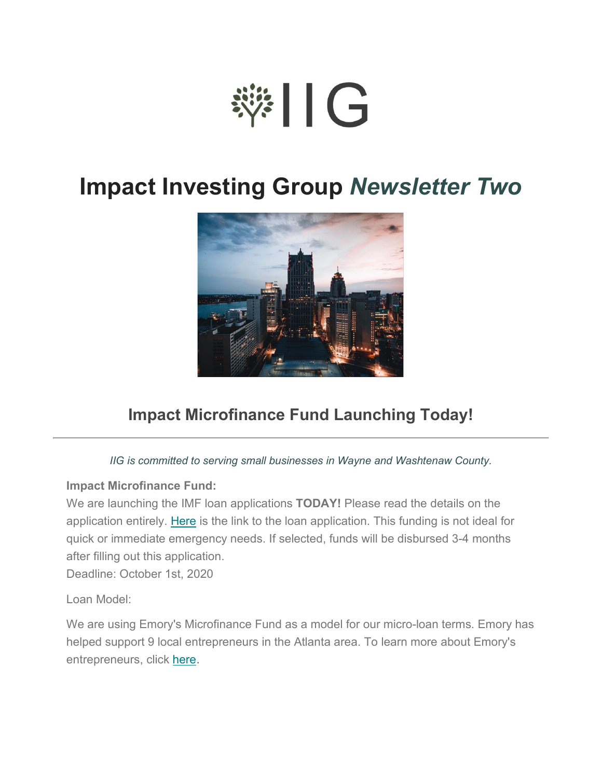# ※11G

## **Impact Investing Group** *Newsletter Two*



### **Impact Microfinance Fund Launching Today!**

#### *IIG is committed to serving small businesses in Wayne and Washtenaw County.*

#### **Impact Microfinance Fund:**

We are launching the IMF loan applications **TODAY!** Please read the details on the application entirely. [Here](https://docs.google.com/forms/d/e/1FAIpQLSf-FZYFeprZfuTOMCzfrZK3Nk4myQGAzpMzEZYu21O4znKNjw/viewform) is the link to the loan application. This funding is not ideal for quick or immediate emergency needs. If selected, funds will be disbursed 3-4 months after filling out this application.

Deadline: October 1st, 2020

Loan Model:

We are using Emory's Microfinance Fund as a model for our micro-loan terms. Emory has helped support 9 local entrepreneurs in the Atlanta area. To learn more about Emory's entrepreneurs, click [here.](https://www.emoryimpactinvesting.com/our-entrepreneurs)